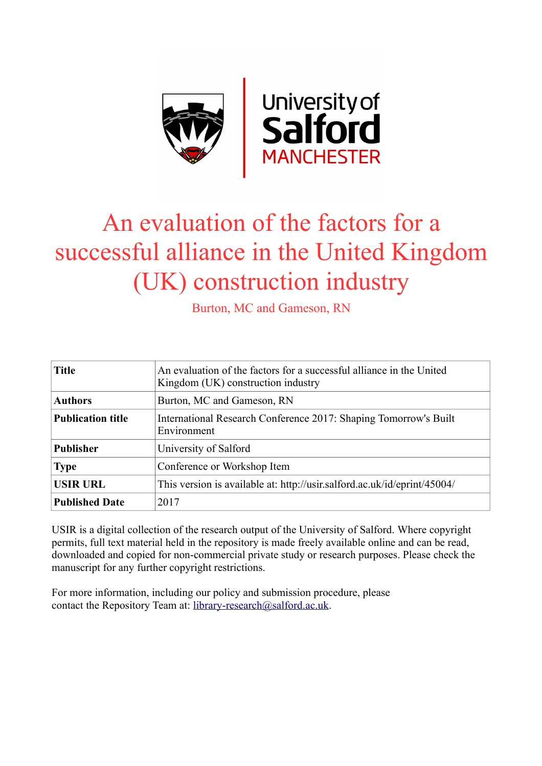

# An evaluation of the factors for a successful alliance in the United Kingdom (UK) construction industry

Burton, MC and Gameson, RN

| <b>Title</b>             | An evaluation of the factors for a successful alliance in the United<br>Kingdom (UK) construction industry |  |
|--------------------------|------------------------------------------------------------------------------------------------------------|--|
| <b>Authors</b>           | Burton, MC and Gameson, RN                                                                                 |  |
| <b>Publication title</b> | International Research Conference 2017: Shaping Tomorrow's Built<br>Environment                            |  |
| <b>Publisher</b>         | University of Salford                                                                                      |  |
| <b>Type</b>              | Conference or Workshop Item                                                                                |  |
| <b>USIR URL</b>          | This version is available at: http://usir.salford.ac.uk/id/eprint/45004/                                   |  |
| <b>Published Date</b>    | 2017                                                                                                       |  |

USIR is a digital collection of the research output of the University of Salford. Where copyright permits, full text material held in the repository is made freely available online and can be read, downloaded and copied for non-commercial private study or research purposes. Please check the manuscript for any further copyright restrictions.

For more information, including our policy and submission procedure, please contact the Repository Team at: [library-research@salford.ac.uk.](mailto:library-research@salford.ac.uk)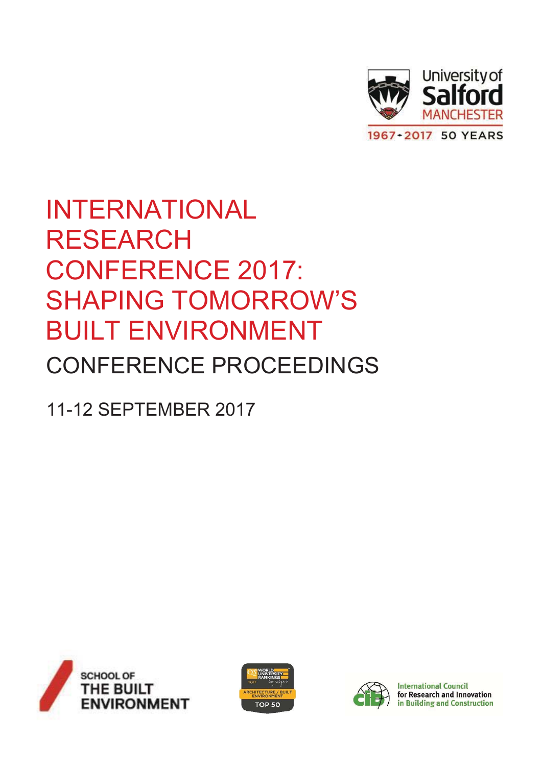

# **INTERNATIONAL RESEARCH CONFERENCE 2017: SHAPING TOMORROW'S BUILT ENVIRONMENT CONFERENCE PROCEEDINGS**

**11-12 SEPTEMBER 2017** 







**International Council** for Research and Innovation in Building and Construction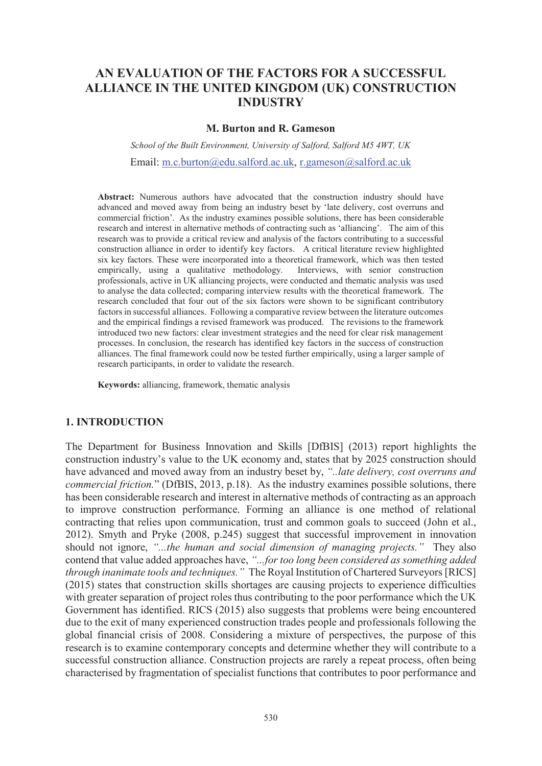# AN EVALUATION OF THE FACTORS FOR A SUCCESSFUL ALLIANCE IN THE UNITED KINGDOM (UK) CONSTRUCTION **INDUSTRY**

#### **M. Burton and R. Gameson**

School of the Built Environment, University of Salford, Salford M5 4WT, UK Email: m.c.burton@edu.salford.ac.uk, r.gameson@salford.ac.uk

**Abstract:** Numerous authors have advocated that the construction industry should have advanced and moved away from being an industry beset by 'late delivery, cost overruns and commercial friction'. As the industry examines possible solutions, there has been considerable research and interest in alternative methods of contracting such as 'alliancing'. The aim of this research was to provide a critical review and analysis of the factors contributing to a successful construction alliance in order to identify key factors. A critical literature review highlighted six key factors. These were incorporated into a theoretical framework, which was then tested empirically, using a qualitative methodology. Interviews, with senior construction professionals, active in UK alliancing projects, were conducted and thematic analysis was used to analyse the data collected; comparing interview results with the theoretical framework. The research concluded that four out of the six factors were shown to be significant contributory factors in successful alliances. Following a comparative review between the literature outcomes and the empirical findings a revised framework was produced. The revisions to the framework introduced two new factors: clear investment strategies and the need for clear risk management processes. In conclusion, the research has identified key factors in the success of construction alliances. The final framework could now be tested further empirically, using a larger sample of research participants, in order to validate the research.

Keywords: alliancing, framework, thematic analysis

### **1. INTRODUCTION**

The Department for Business Innovation and Skills [DfBIS] (2013) report highlights the construction industry's value to the UK economy and, states that by 2025 construction should have advanced and moved away from an industry beset by, "...late delivery, cost overruns and *commercial friction.*" (DfBIS, 2013, p.18). As the industry examines possible solutions, there has been considerable research and interest in alternative methods of contracting as an approach to improve construction performance. Forming an alliance is one method of relational contracting that relies upon communication, trust and common goals to succeed (John et al., 2012). Smyth and Pryke (2008, p.245) suggest that successful improvement in innovation should not ignore, "...the human and social dimension of managing projects." They also contend that value added approaches have, "...for too long been considered as something added through inanimate tools and techniques." The Royal Institution of Chartered Surveyors [RICS] (2015) states that construction skills shortages are causing projects to experience difficulties with greater separation of project roles thus contributing to the poor performance which the UK Government has identified. RICS (2015) also suggests that problems were being encountered due to the exit of many experienced construction trades people and professionals following the global financial crisis of 2008. Considering a mixture of perspectives, the purpose of this research is to examine contemporary concepts and determine whether they will contribute to a successful construction alliance. Construction projects are rarely a repeat process, often being characterised by fragmentation of specialist functions that contributes to poor performance and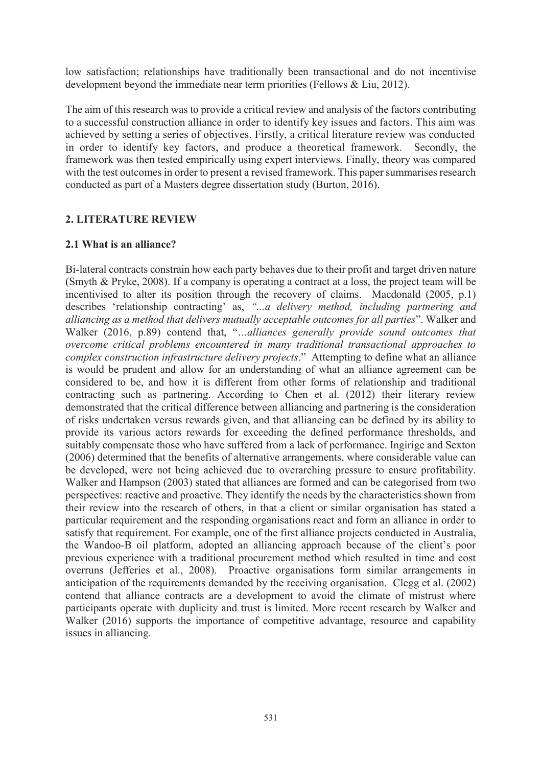low satisfaction; relationships have traditionally been transactional and do not incentivise development beyond the immediate near term priorities (Fellows  $& Liu, 2012$ ).

The aim of this research was to provide a critical review and analysis of the factors contributing to a successful construction alliance in order to identify key issues and factors. This aim was achieved by setting a series of objectives. Firstly, a critical literature review was conducted in order to identify key factors, and produce a theoretical framework. Secondly, the framework was then tested empirically using expert interviews. Finally, theory was compared with the test outcomes in order to present a revised framework. This paper summarises research conducted as part of a Masters degree dissertation study (Burton, 2016).

### **2. LITERATURE REVIEW**

### 2.1 What is an alliance?

Bi-lateral contracts constrain how each party behaves due to their profit and target driven nature (Smyth & Pryke, 2008). If a company is operating a contract at a loss, the project team will be incentivised to alter its position through the recovery of claims. Macdonald (2005, p.1) describes 'relationship contracting' as, "...a delivery method, including partnering and alliancing as a method that delivers mutually acceptable outcomes for all parties". Walker and Walker (2016, p.89) contend that, "...alliances generally provide sound outcomes that overcome critical problems encountered in many traditional transactional approaches to complex construction infrastructure delivery projects." Attempting to define what an alliance is would be prudent and allow for an understanding of what an alliance agreement can be considered to be, and how it is different from other forms of relationship and traditional contracting such as partnering. According to Chen et al. (2012) their literary review demonstrated that the critical difference between alliancing and partnering is the consideration of risks undertaken versus rewards given, and that alliancing can be defined by its ability to provide its various actors rewards for exceeding the defined performance thresholds, and suitably compensate those who have suffered from a lack of performance. Ingirige and Sexton (2006) determined that the benefits of alternative arrangements, where considerable value can be developed, were not being achieved due to overarching pressure to ensure profitability. Walker and Hampson (2003) stated that alliances are formed and can be categorised from two perspectives: reactive and proactive. They identify the needs by the characteristics shown from their review into the research of others, in that a client or similar organisation has stated a particular requirement and the responding organisations react and form an alliance in order to satisfy that requirement. For example, one of the first alliance projects conducted in Australia. the Wandoo-B oil platform, adopted an alliancing approach because of the client's poor previous experience with a traditional procurement method which resulted in time and cost overruns (Jefferies et al., 2008). Proactive organisations form similar arrangements in anticipation of the requirements demanded by the receiving organisation. Clegg et al. (2002) contend that alliance contracts are a development to avoid the climate of mistrust where participants operate with duplicity and trust is limited. More recent research by Walker and Walker (2016) supports the importance of competitive advantage, resource and capability issues in alliancing.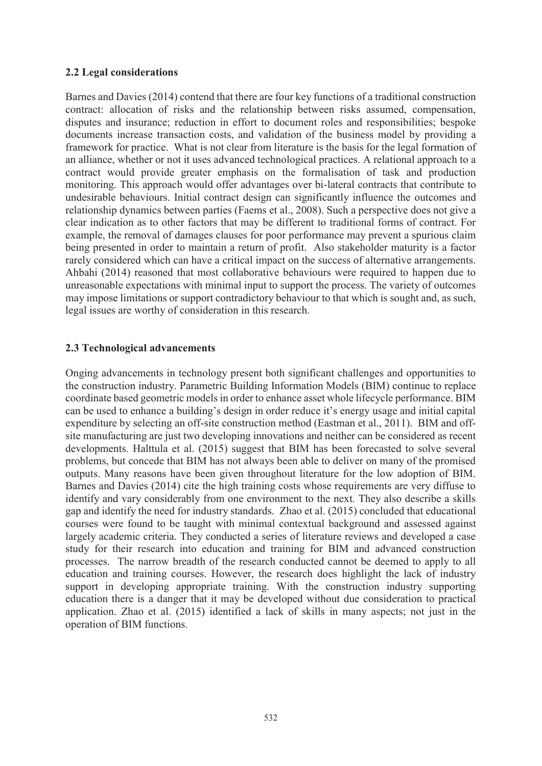### 2.2 Legal considerations

Barnes and Davies (2014) contend that there are four key functions of a traditional construction contract: allocation of risks and the relationship between risks assumed, compensation, disputes and insurance; reduction in effort to document roles and responsibilities; bespoke documents increase transaction costs, and validation of the business model by providing a framework for practice. What is not clear from literature is the basis for the legal formation of an alliance, whether or not it uses advanced technological practices. A relational approach to a contract would provide greater emphasis on the formalisation of task and production monitoring. This approach would offer advantages over bi-lateral contracts that contribute to undesirable behaviours. Initial contract design can significantly influence the outcomes and relationship dynamics between parties (Faems et al., 2008). Such a perspective does not give a clear indication as to other factors that may be different to traditional forms of contract. For example, the removal of damages clauses for poor performance may prevent a spurious claim being presented in order to maintain a return of profit. Also stakeholder maturity is a factor rarely considered which can have a critical impact on the success of alternative arrangements. Ahbahi (2014) reasoned that most collaborative behaviours were required to happen due to unreasonable expectations with minimal input to support the process. The variety of outcomes may impose limitations or support contradictory behaviour to that which is sought and, as such, legal issues are worthy of consideration in this research.

### 2.3 Technological advancements

Onging advancements in technology present both significant challenges and opportunities to the construction industry. Parametric Building Information Models (BIM) continue to replace coordinate based geometric models in order to enhance asset whole lifecycle performance. BIM can be used to enhance a building's design in order reduce it's energy usage and initial capital expenditure by selecting an off-site construction method (Eastman et al., 2011). BIM and offsite manufacturing are just two developing innovations and neither can be considered as recent developments. Halttula et al. (2015) suggest that BIM has been forecasted to solve several problems, but concede that BIM has not always been able to deliver on many of the promised outputs. Many reasons have been given throughout literature for the low adoption of BIM. Barnes and Davies (2014) cite the high training costs whose requirements are very diffuse to identify and vary considerably from one environment to the next. They also describe a skills gap and identify the need for industry standards. Zhao et al. (2015) concluded that educational courses were found to be taught with minimal contextual background and assessed against largely academic criteria. They conducted a series of literature reviews and developed a case study for their research into education and training for BIM and advanced construction processes. The narrow breadth of the research conducted cannot be deemed to apply to all education and training courses. However, the research does highlight the lack of industry support in developing appropriate training. With the construction industry supporting education there is a danger that it may be developed without due consideration to practical application. Zhao et al. (2015) identified a lack of skills in many aspects; not just in the operation of BIM functions.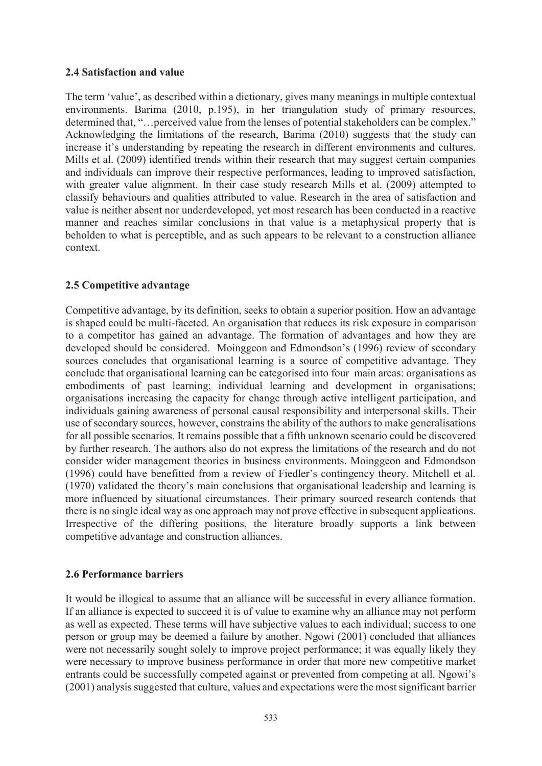#### 2.4 Satisfaction and value

The term 'value', as described within a dictionary, gives many meanings in multiple contextual environments. Barima (2010, p.195), in her triangulation study of primary resources, determined that, "... perceived value from the lenses of potential stakeholders can be complex." Acknowledging the limitations of the research, Barima (2010) suggests that the study can increase it's understanding by repeating the research in different environments and cultures. Mills et al. (2009) identified trends within their research that may suggest certain companies and individuals can improve their respective performances, leading to improved satisfaction, with greater value alignment. In their case study research Mills et al. (2009) attempted to classify behaviours and qualities attributed to value. Research in the area of satisfaction and value is neither absent nor underdeveloped, yet most research has been conducted in a reactive manner and reaches similar conclusions in that value is a metaphysical property that is beholden to what is perceptible, and as such appears to be relevant to a construction alliance context

### 2.5 Competitive advantage

Competitive advantage, by its definition, seeks to obtain a superior position. How an advantage is shaped could be multi-faceted. An organisation that reduces its risk exposure in comparison to a competitor has gained an advantage. The formation of advantages and how they are developed should be considered. Moinggeon and Edmondson's (1996) review of secondary sources concludes that organisational learning is a source of competitive advantage. They conclude that organisational learning can be categorised into four main areas: organisations as embodiments of past learning; individual learning and development in organisations; organisations increasing the capacity for change through active intelligent participation, and individuals gaining awareness of personal causal responsibility and interpersonal skills. Their use of secondary sources, however, constrains the ability of the authors to make generalisations for all possible scenarios. It remains possible that a fifth unknown scenario could be discovered by further research. The authors also do not express the limitations of the research and do not consider wider management theories in business environments. Moinggeon and Edmondson (1996) could have benefitted from a review of Fiedler's contingency theory. Mitchell et al. (1970) validated the theory's main conclusions that organisational leadership and learning is more influenced by situational circumstances. Their primary sourced research contends that there is no single ideal way as one approach may not prove effective in subsequent applications. Irrespective of the differing positions, the literature broadly supports a link between competitive advantage and construction alliances.

### 2.6 Performance barriers

It would be illogical to assume that an alliance will be successful in every alliance formation. If an alliance is expected to succeed it is of value to examine why an alliance may not perform as well as expected. These terms will have subjective values to each individual; success to one person or group may be deemed a failure by another. Ngowi (2001) concluded that alliances were not necessarily sought solely to improve project performance; it was equally likely they were necessary to improve business performance in order that more new competitive market entrants could be successfully competed against or prevented from competing at all. Ngowi's (2001) analysis suggested that culture, values and expectations were the most significant barrier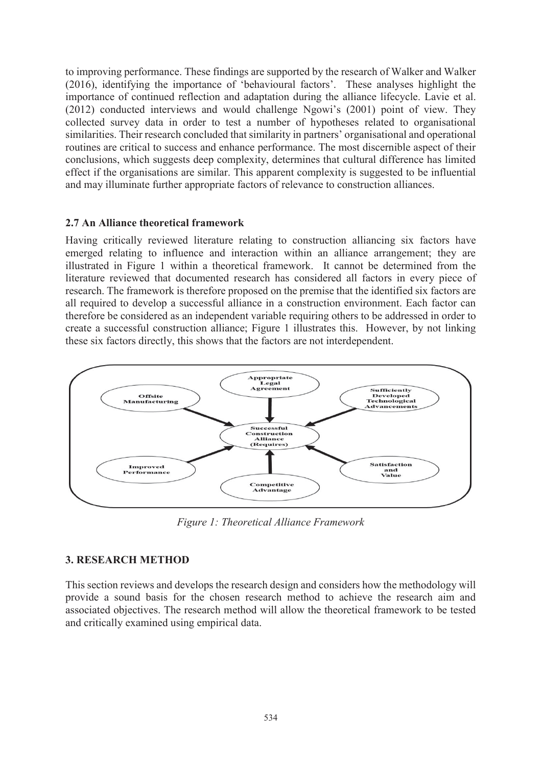to improving performance. These findings are supported by the research of Walker and Walker (2016), identifying the importance of 'behavioural factors'. These analyses highlight the importance of continued reflection and adaptation during the alliance lifecycle. Lavie et al. (2012) conducted interviews and would challenge Ngowi's (2001) point of view. They collected survey data in order to test a number of hypotheses related to organisational similarities. Their research concluded that similarity in partners' organisational and operational routines are critical to success and enhance performance. The most discernible aspect of their conclusions, which suggests deep complexity, determines that cultural difference has limited effect if the organisations are similar. This apparent complexity is suggested to be influential and may illuminate further appropriate factors of relevance to construction alliances.

#### 2.7 An Alliance theoretical framework

Having critically reviewed literature relating to construction alliancing six factors have emerged relating to influence and interaction within an alliance arrangement; they are illustrated in Figure 1 within a theoretical framework. It cannot be determined from the literature reviewed that documented research has considered all factors in every piece of research. The framework is therefore proposed on the premise that the identified six factors are all required to develop a successful alliance in a construction environment. Each factor can therefore be considered as an independent variable requiring others to be addressed in order to create a successful construction alliance; Figure 1 illustrates this. However, by not linking these six factors directly, this shows that the factors are not interdependent.



Figure 1: Theoretical Alliance Framework

## **3. RESEARCH METHOD**

This section reviews and develops the research design and considers how the methodology will provide a sound basis for the chosen research method to achieve the research aim and associated objectives. The research method will allow the theoretical framework to be tested and critically examined using empirical data.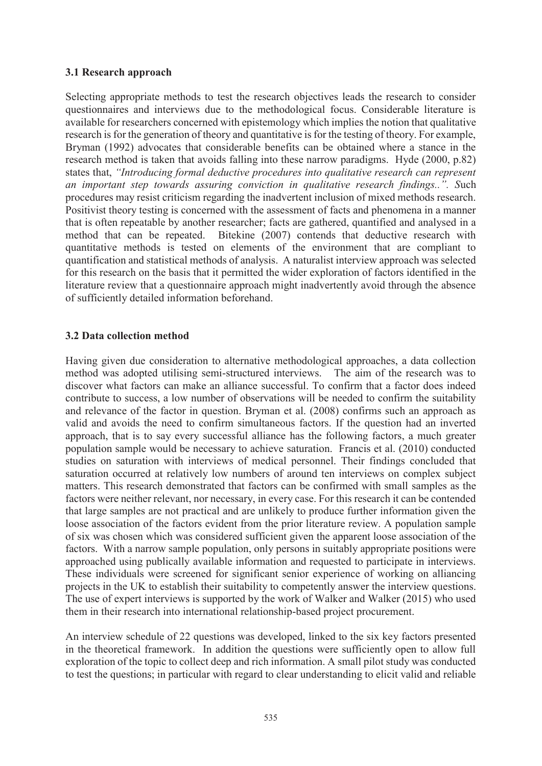### 3.1 Research approach

Selecting appropriate methods to test the research objectives leads the research to consider questionnaires and interviews due to the methodological focus. Considerable literature is available for researchers concerned with epistemology which implies the notion that qualitative research is for the generation of theory and quantitative is for the testing of theory. For example, Bryman (1992) advocates that considerable benefits can be obtained where a stance in the research method is taken that avoids falling into these narrow paradigms. Hyde (2000, p.82) states that, "Introducing formal deductive procedures into qualitative research can represent an important step towards assuring conviction in qualitative research findings...". Such procedures may resist criticism regarding the inadvertent inclusion of mixed methods research. Positivist theory testing is concerned with the assessment of facts and phenomena in a manner that is often repeatable by another researcher; facts are gathered, quantified and analysed in a method that can be repeated. Bitekine (2007) contends that deductive research with quantitative methods is tested on elements of the environment that are compliant to quantification and statistical methods of analysis. A naturalist interview approach was selected for this research on the basis that it permitted the wider exploration of factors identified in the literature review that a questionnaire approach might inadvertently avoid through the absence of sufficiently detailed information beforehand.

### **3.2 Data collection method**

Having given due consideration to alternative methodological approaches, a data collection method was adopted utilising semi-structured interviews. The aim of the research was to discover what factors can make an alliance successful. To confirm that a factor does indeed contribute to success, a low number of observations will be needed to confirm the suitability and relevance of the factor in question. Bryman et al. (2008) confirms such an approach as valid and avoids the need to confirm simultaneous factors. If the question had an inverted approach, that is to say every successful alliance has the following factors, a much greater population sample would be necessary to achieve saturation. Francis et al. (2010) conducted studies on saturation with interviews of medical personnel. Their findings concluded that saturation occurred at relatively low numbers of around ten interviews on complex subject matters. This research demonstrated that factors can be confirmed with small samples as the factors were neither relevant, nor necessary, in every case. For this research it can be contended that large samples are not practical and are unlikely to produce further information given the loose association of the factors evident from the prior literature review. A population sample of six was chosen which was considered sufficient given the apparent loose association of the factors. With a narrow sample population, only persons in suitably appropriate positions were approached using publically available information and requested to participate in interviews. These individuals were screened for significant senior experience of working on alliancing projects in the UK to establish their suitability to competently answer the interview questions. The use of expert interviews is supported by the work of Walker and Walker (2015) who used them in their research into international relationship-based project procurement.

An interview schedule of 22 questions was developed, linked to the six key factors presented in the theoretical framework. In addition the questions were sufficiently open to allow full exploration of the topic to collect deep and rich information. A small pilot study was conducted to test the questions; in particular with regard to clear understanding to elicit valid and reliable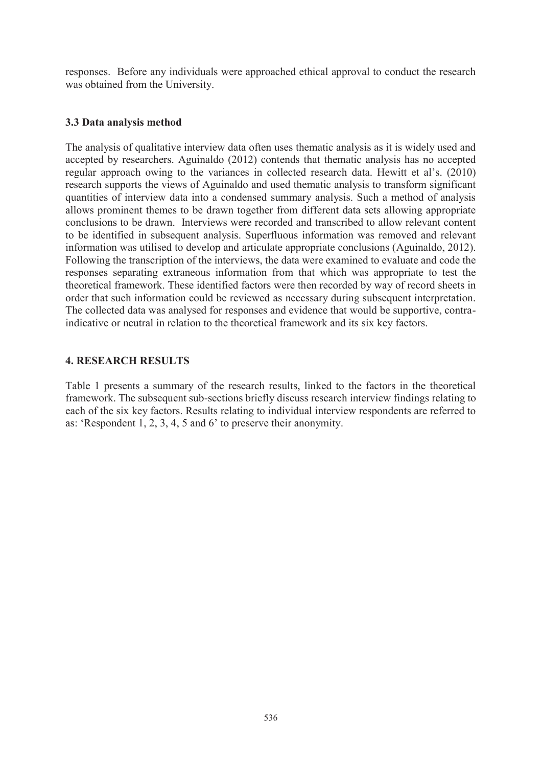responses. Before any individuals were approached ethical approval to conduct the research was obtained from the University.

#### 3.3 Data analysis method

The analysis of qualitative interview data often uses thematic analysis as it is widely used and accepted by researchers. Aguinaldo (2012) contends that thematic analysis has no accepted regular approach owing to the variances in collected research data. Hewitt et al's. (2010) research supports the views of Aguinaldo and used thematic analysis to transform significant quantities of interview data into a condensed summary analysis. Such a method of analysis allows prominent themes to be drawn together from different data sets allowing appropriate conclusions to be drawn. Interviews were recorded and transcribed to allow relevant content to be identified in subsequent analysis. Superfluous information was removed and relevant information was utilised to develop and articulate appropriate conclusions (Aguinaldo, 2012). Following the transcription of the interviews, the data were examined to evaluate and code the responses separating extraneous information from that which was appropriate to test the theoretical framework. These identified factors were then recorded by way of record sheets in order that such information could be reviewed as necessary during subsequent interpretation. The collected data was analysed for responses and evidence that would be supportive, contraindicative or neutral in relation to the theoretical framework and its six key factors.

#### **4. RESEARCH RESULTS**

Table 1 presents a summary of the research results, linked to the factors in the theoretical framework. The subsequent sub-sections briefly discuss research interview findings relating to each of the six key factors. Results relating to individual interview respondents are referred to as: 'Respondent 1, 2, 3, 4, 5 and 6' to preserve their anonymity.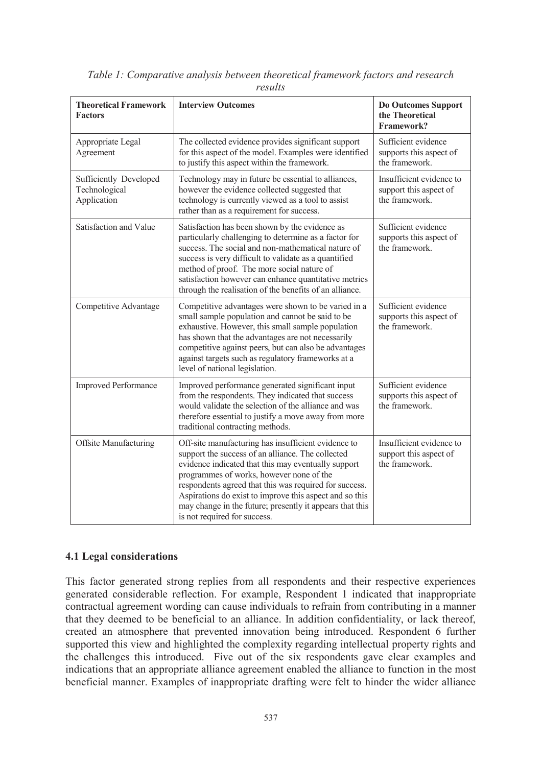| <b>Theoretical Framework</b><br><b>Factors</b>         | <b>Interview Outcomes</b>                                                                                                                                                                                                                                                                                                                                                                                                    | <b>Do Outcomes Support</b><br>the Theoretical<br>Framework?          |
|--------------------------------------------------------|------------------------------------------------------------------------------------------------------------------------------------------------------------------------------------------------------------------------------------------------------------------------------------------------------------------------------------------------------------------------------------------------------------------------------|----------------------------------------------------------------------|
| Appropriate Legal<br>Agreement                         | The collected evidence provides significant support<br>for this aspect of the model. Examples were identified<br>to justify this aspect within the framework.                                                                                                                                                                                                                                                                | Sufficient evidence<br>supports this aspect of<br>the framework.     |
| Sufficiently Developed<br>Technological<br>Application | Technology may in future be essential to alliances,<br>however the evidence collected suggested that<br>technology is currently viewed as a tool to assist<br>rather than as a requirement for success.                                                                                                                                                                                                                      | Insufficient evidence to<br>support this aspect of<br>the framework. |
| Satisfaction and Value                                 | Satisfaction has been shown by the evidence as<br>particularly challenging to determine as a factor for<br>success. The social and non-mathematical nature of<br>success is very difficult to validate as a quantified<br>method of proof. The more social nature of<br>satisfaction however can enhance quantitative metrics<br>through the realisation of the benefits of an alliance.                                     | Sufficient evidence<br>supports this aspect of<br>the framework.     |
| Competitive Advantage                                  | Competitive advantages were shown to be varied in a<br>small sample population and cannot be said to be<br>exhaustive. However, this small sample population<br>has shown that the advantages are not necessarily<br>competitive against peers, but can also be advantages<br>against targets such as regulatory frameworks at a<br>level of national legislation.                                                           | Sufficient evidence<br>supports this aspect of<br>the framework.     |
| <b>Improved Performance</b>                            | Improved performance generated significant input<br>from the respondents. They indicated that success<br>would validate the selection of the alliance and was<br>therefore essential to justify a move away from more<br>traditional contracting methods.                                                                                                                                                                    | Sufficient evidence<br>supports this aspect of<br>the framework.     |
| <b>Offsite Manufacturing</b>                           | Off-site manufacturing has insufficient evidence to<br>support the success of an alliance. The collected<br>evidence indicated that this may eventually support<br>programmes of works, however none of the<br>respondents agreed that this was required for success.<br>Aspirations do exist to improve this aspect and so this<br>may change in the future; presently it appears that this<br>is not required for success. | Insufficient evidence to<br>support this aspect of<br>the framework. |

Table 1: Comparative analysis between theoretical framework factors and research results

## **4.1 Legal considerations**

This factor generated strong replies from all respondents and their respective experiences generated considerable reflection. For example, Respondent 1 indicated that inappropriate contractual agreement wording can cause individuals to refrain from contributing in a manner that they deemed to be beneficial to an alliance. In addition confidentiality, or lack thereof, created an atmosphere that prevented innovation being introduced. Respondent 6 further supported this view and highlighted the complexity regarding intellectual property rights and the challenges this introduced. Five out of the six respondents gave clear examples and indications that an appropriate alliance agreement enabled the alliance to function in the most beneficial manner. Examples of inappropriate drafting were felt to hinder the wider alliance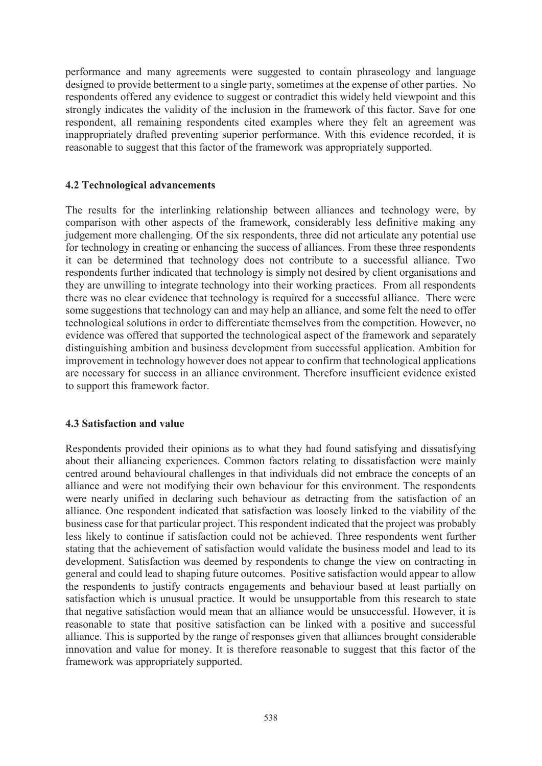performance and many agreements were suggested to contain phraseology and language designed to provide betterment to a single party, sometimes at the expense of other parties. No respondents offered any evidence to suggest or contradict this widely held viewpoint and this strongly indicates the validity of the inclusion in the framework of this factor. Save for one respondent, all remaining respondents cited examples where they felt an agreement was inappropriately drafted preventing superior performance. With this evidence recorded, it is reasonable to suggest that this factor of the framework was appropriately supported.

#### **4.2 Technological advancements**

The results for the interlinking relationship between alliances and technology were, by comparison with other aspects of the framework, considerably less definitive making any judgement more challenging. Of the six respondents, three did not articulate any potential use for technology in creating or enhancing the success of alliances. From these three respondents it can be determined that technology does not contribute to a successful alliance. Two respondents further indicated that technology is simply not desired by client organisations and they are unwilling to integrate technology into their working practices. From all respondents there was no clear evidence that technology is required for a successful alliance. There were some suggestions that technology can and may help an alliance, and some felt the need to offer technological solutions in order to differentiate themselves from the competition. However, no evidence was offered that supported the technological aspect of the framework and separately distinguishing ambition and business development from successful application. Ambition for improvement in technology however does not appear to confirm that technological applications are necessary for success in an alliance environment. Therefore insufficient evidence existed to support this framework factor.

#### 4.3 Satisfaction and value

Respondents provided their opinions as to what they had found satisfying and dissatisfying about their alliancing experiences. Common factors relating to dissatisfaction were mainly centred around behavioural challenges in that individuals did not embrace the concepts of an alliance and were not modifying their own behaviour for this environment. The respondents were nearly unified in declaring such behaviour as detracting from the satisfaction of an alliance. One respondent indicated that satisfaction was loosely linked to the viability of the business case for that particular project. This respondent indicated that the project was probably less likely to continue if satisfaction could not be achieved. Three respondents went further stating that the achievement of satisfaction would validate the business model and lead to its development. Satisfaction was deemed by respondents to change the view on contracting in general and could lead to shaping future outcomes. Positive satisfaction would appear to allow the respondents to justify contracts engagements and behaviour based at least partially on satisfaction which is unusual practice. It would be unsupportable from this research to state that negative satisfaction would mean that an alliance would be unsuccessful. However, it is reasonable to state that positive satisfaction can be linked with a positive and successful alliance. This is supported by the range of responses given that alliances brought considerable innovation and value for money. It is therefore reasonable to suggest that this factor of the framework was appropriately supported.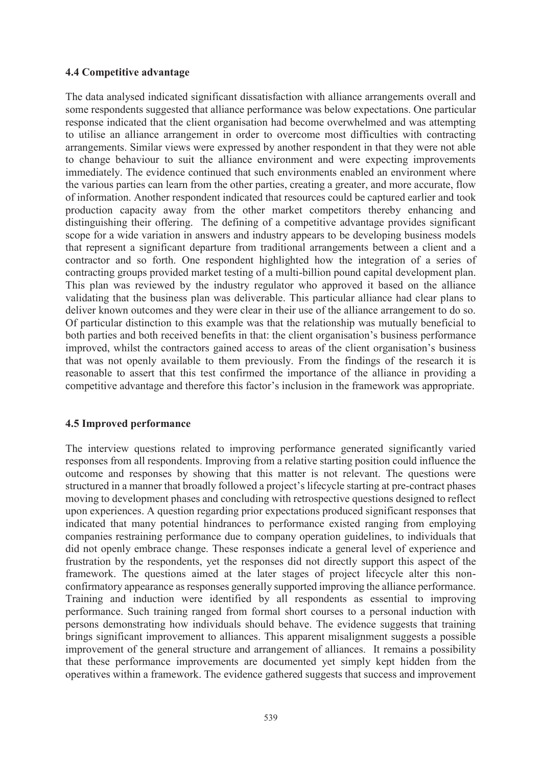#### **4.4 Competitive advantage**

The data analysed indicated significant dissatisfaction with alliance arrangements overall and some respondents suggested that alliance performance was below expectations. One particular response indicated that the client organisation had become overwhelmed and was attempting to utilise an alliance arrangement in order to overcome most difficulties with contracting arrangements. Similar views were expressed by another respondent in that they were not able to change behaviour to suit the alliance environment and were expecting improvements immediately. The evidence continued that such environments enabled an environment where the various parties can learn from the other parties, creating a greater, and more accurate, flow of information. Another respondent indicated that resources could be captured earlier and took production capacity away from the other market competitors thereby enhancing and distinguishing their offering. The defining of a competitive advantage provides significant scope for a wide variation in answers and industry appears to be developing business models that represent a significant departure from traditional arrangements between a client and a contractor and so forth. One respondent highlighted how the integration of a series of contracting groups provided market testing of a multi-billion pound capital development plan. This plan was reviewed by the industry regulator who approved it based on the alliance validating that the business plan was deliverable. This particular alliance had clear plans to deliver known outcomes and they were clear in their use of the alliance arrangement to do so. Of particular distinction to this example was that the relationship was mutually beneficial to both parties and both received benefits in that: the client organisation's business performance improved, whilst the contractors gained access to areas of the client organisation's business that was not openly available to them previously. From the findings of the research it is reasonable to assert that this test confirmed the importance of the alliance in providing a competitive advantage and therefore this factor's inclusion in the framework was appropriate.

### **4.5 Improved performance**

The interview questions related to improving performance generated significantly varied responses from all respondents. Improving from a relative starting position could influence the outcome and responses by showing that this matter is not relevant. The questions were structured in a manner that broadly followed a project's lifecycle starting at pre-contract phases moving to development phases and concluding with retrospective questions designed to reflect upon experiences. A question regarding prior expectations produced significant responses that indicated that many potential hindrances to performance existed ranging from employing companies restraining performance due to company operation guidelines, to individuals that did not openly embrace change. These responses indicate a general level of experience and frustration by the respondents, yet the responses did not directly support this aspect of the framework. The questions aimed at the later stages of project lifecycle alter this nonconfirmatory appearance as responses generally supported improving the alliance performance. Training and induction were identified by all respondents as essential to improving performance. Such training ranged from formal short courses to a personal induction with persons demonstrating how individuals should behave. The evidence suggests that training brings significant improvement to alliances. This apparent misalignment suggests a possible improvement of the general structure and arrangement of alliances. It remains a possibility that these performance improvements are documented yet simply kept hidden from the operatives within a framework. The evidence gathered suggests that success and improvement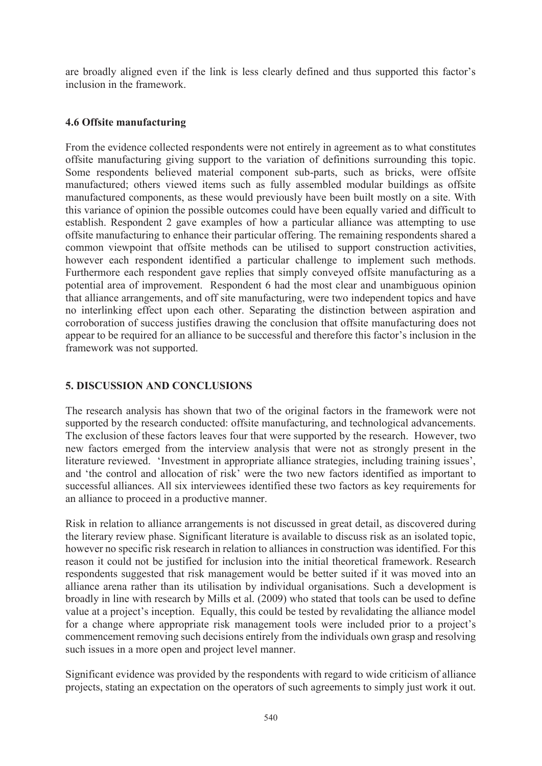are broadly aligned even if the link is less clearly defined and thus supported this factor's inclusion in the framework.

#### 4.6 Offsite manufacturing

From the evidence collected respondents were not entirely in agreement as to what constitutes offsite manufacturing giving support to the variation of definitions surrounding this topic. Some respondents believed material component sub-parts, such as bricks, were offsite manufactured; others viewed items such as fully assembled modular buildings as offsite manufactured components, as these would previously have been built mostly on a site. With this variance of opinion the possible outcomes could have been equally varied and difficult to establish. Respondent 2 gave examples of how a particular alliance was attempting to use offsite manufacturing to enhance their particular offering. The remaining respondents shared a common viewpoint that offsite methods can be utilised to support construction activities, however each respondent identified a particular challenge to implement such methods. Furthermore each respondent gave replies that simply conveyed offsite manufacturing as a potential area of improvement. Respondent 6 had the most clear and unambiguous opinion that alliance arrangements, and off site manufacturing, were two independent topics and have no interlinking effect upon each other. Separating the distinction between aspiration and corroboration of success justifies drawing the conclusion that offsite manufacturing does not appear to be required for an alliance to be successful and therefore this factor's inclusion in the framework was not supported.

### **5. DISCUSSION AND CONCLUSIONS**

The research analysis has shown that two of the original factors in the framework were not supported by the research conducted: offsite manufacturing, and technological advancements. The exclusion of these factors leaves four that were supported by the research. However, two new factors emerged from the interview analysis that were not as strongly present in the literature reviewed. 'Investment in appropriate alliance strategies, including training issues', and 'the control and allocation of risk' were the two new factors identified as important to successful alliances. All six interviewees identified these two factors as key requirements for an alliance to proceed in a productive manner.

Risk in relation to alliance arrangements is not discussed in great detail, as discovered during the literary review phase. Significant literature is available to discuss risk as an isolated topic, however no specific risk research in relation to alliances in construction was identified. For this reason it could not be justified for inclusion into the initial theoretical framework. Research respondents suggested that risk management would be better suited if it was moved into an alliance arena rather than its utilisation by individual organisations. Such a development is broadly in line with research by Mills et al. (2009) who stated that tools can be used to define value at a project's inception. Equally, this could be tested by revalidating the alliance model for a change where appropriate risk management tools were included prior to a project's commencement removing such decisions entirely from the individuals own grasp and resolving such issues in a more open and project level manner.

Significant evidence was provided by the respondents with regard to wide criticism of alliance projects, stating an expectation on the operators of such agreements to simply just work it out.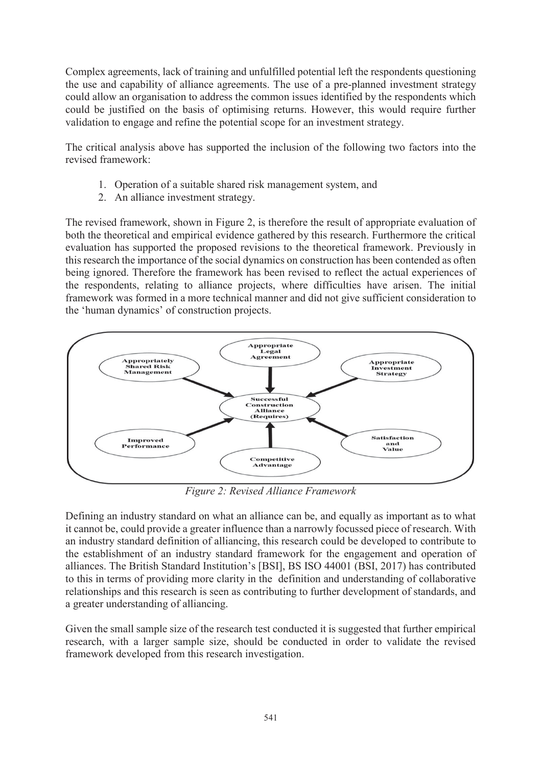Complex agreements, lack of training and unfulfilled potential left the respondents questioning the use and capability of alliance agreements. The use of a pre-planned investment strategy could allow an organisation to address the common issues identified by the respondents which could be justified on the basis of optimising returns. However, this would require further validation to engage and refine the potential scope for an investment strategy.

The critical analysis above has supported the inclusion of the following two factors into the revised framework:

- 1. Operation of a suitable shared risk management system, and
- 2. An alliance investment strategy.

The revised framework, shown in Figure 2, is therefore the result of appropriate evaluation of both the theoretical and empirical evidence gathered by this research. Furthermore the critical evaluation has supported the proposed revisions to the theoretical framework. Previously in this research the importance of the social dynamics on construction has been contended as often being ignored. Therefore the framework has been revised to reflect the actual experiences of the respondents, relating to alliance projects, where difficulties have arisen. The initial framework was formed in a more technical manner and did not give sufficient consideration to the 'human dynamics' of construction projects.



Figure 2: Revised Alliance Framework

Defining an industry standard on what an alliance can be, and equally as important as to what it cannot be, could provide a greater influence than a narrowly focussed piece of research. With an industry standard definition of alliancing, this research could be developed to contribute to the establishment of an industry standard framework for the engagement and operation of alliances. The British Standard Institution's [BSI], BS ISO 44001 (BSI, 2017) has contributed to this in terms of providing more clarity in the definition and understanding of collaborative relationships and this research is seen as contributing to further development of standards, and a greater understanding of alliancing.

Given the small sample size of the research test conducted it is suggested that further empirical research, with a larger sample size, should be conducted in order to validate the revised framework developed from this research investigation.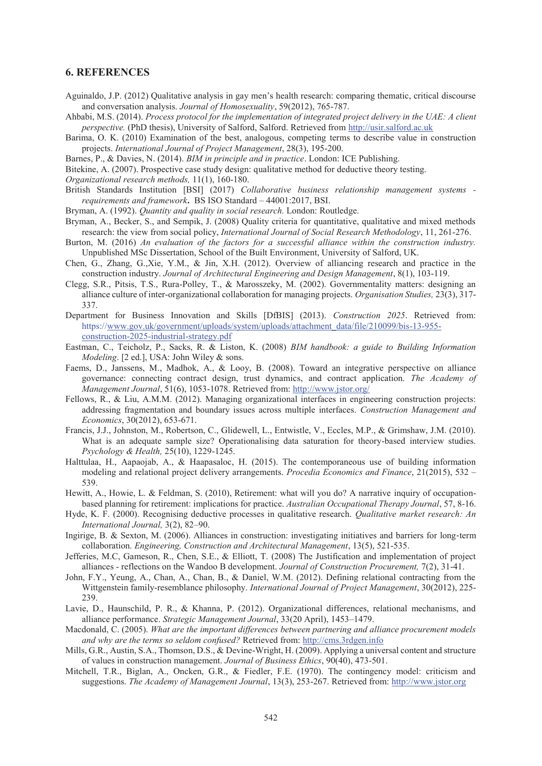#### **6. REFERENCES**

- Aguinaldo, J.P. (2012) Oualitative analysis in gay men's health research; comparing thematic, critical discourse and conversation analysis. Journal of Homosexuality, 59(2012), 765-787.
- Ahbabi, M.S. (2014). Process protocol for the implementation of integrated project delivery in the UAE: A client *perspective.* (PhD thesis), University of Salford, Salford. Retrieved from http://usir.salford.ac.uk
- Barima, O. K. (2010) Examination of the best, analogous, competing terms to describe value in construction projects. International Journal of Project Management. 28(3), 195-200.
- Barnes, P., & Davies, N. (2014). BIM in principle and in practice. London: ICE Publishing.
- Bitekine, A. (2007). Prospective case study design: qualitative method for deductive theory testing.

Organizational research methods, 11(1), 160-180.

- British Standards Institution [BSI] (2017) Collaborative business relationship management systems requirements and framework. BS ISO Standard - 44001:2017, BSI.
- Bryman, A. (1992). Quantity and quality in social research. London: Routledge.
- Bryman, A., Becker, S., and Sempik, J. (2008) Quality criteria for quantitative, qualitative and mixed methods research: the view from social policy, *International Journal of Social Research Methodology*, 11, 261-276.
- Burton, M. (2016) An evaluation of the factors for a successful alliance within the construction industry. Unpublished MSc Dissertation, School of the Built Environment, University of Salford, UK.
- Chen, G., Zhang, G.,Xie, Y.M., & Jin, X.H. (2012). Overview of alliancing research and practice in the construction industry. Journal of Architectural Engineering and Design Management, 8(1), 103-119.
- Clegg, S.R., Pitsis, T.S., Rura-Polley, T., & Marosszeky, M. (2002). Governmentality matters: designing an alliance culture of inter-organizational collaboration for managing projects. Organization Studies, 23(3), 317-337.
- Department for Business Innovation and Skills [DfBIS] (2013). Construction 2025. Retrieved from: https://www.gov.uk/government/uploads/system/uploads/attachment\_data/file/210099/bis-13-955construction-2025-industrial-strategy.pdf
- Eastman, C., Teicholz, P., Sacks, R. & Liston, K. (2008) BIM handbook: a guide to Building Information Modeling, [2 ed.], USA: John Wiley & sons.
- Faems, D., Janssens, M., Madhok, A., & Looy, B. (2008). Toward an integrative perspective on alliance governance: connecting contract design, trust dynamics, and contract application. The Academy of Management Journal, 51(6), 1053-1078. Retrieved from: http://www.istor.org/
- Fellows, R., & Liu, A.M.M. (2012). Managing organizational interfaces in engineering construction projects: addressing fragmentation and boundary issues across multiple interfaces. Construction Management and Economics, 30(2012), 653-671.
- Francis, J.J., Johnston, M., Robertson, C., Glidewell, L., Entwistle, V., Eccles, M.P., & Grimshaw, J.M. (2010). What is an adequate sample size? Operationalising data saturation for theory-based interview studies. Psychology & Health, 25(10), 1229-1245.
- Halttulaa, H., Aapaojab, A., & Haapasaloc, H. (2015). The contemporaneous use of building information modeling and relational project delivery arrangements. *Procedia Economics and Finance*, 21(2015), 532 – 539.
- Hewitt, A., Howie, L. & Feldman, S. (2010), Retirement: what will you do? A narrative inquiry of occupationbased planning for retirement: implications for practice. Australian Occupational Therapy Journal, 57, 8-16.
- Hyde, K. F. (2000). Recognising deductive processes in qualitative research. *Qualitative market research: An* International Journal, 3(2), 82-90.
- Ingirige, B. & Sexton, M. (2006). Alliances in construction: investigating initiatives and barriers for long-term collaboration. *Engineering, Construction and Architectural Management*, 13(5), 521-535.
- Jefferies, M.C. Gameson, R., Chen, S.E., & Elliott, T. (2008) The Justification and implementation of project alliances - reflections on the Wandoo B development. Journal of Construction Procurement, 7(2), 31-41.
- John, F.Y., Yeung, A., Chan, A., Chan, B., & Daniel, W.M. (2012). Defining relational contracting from the Wittgenstein family-resemblance philosophy. International Journal of Project Management, 30(2012), 225-239.
- Lavie, D., Haunschild, P. R., & Khanna, P. (2012). Organizational differences, relational mechanisms, and alliance performance. Strategic Management Journal, 33(20 April), 1453-1479.
- Macdonald, C. (2005). What are the important differences between partnering and alliance procurement models and why are the terms so seldom confused? Retrieved from: http://cms.3rdgen.info
- Mills, G.R., Austin, S.A., Thomson, D.S., & Devine-Wright, H. (2009). Applying a universal content and structure of values in construction management. Journal of Business Ethics, 90(40), 473-501.
- Mitchell, T.R., Biglan, A., Oncken, G.R., & Fiedler, F.E. (1970). The contingency model: criticism and suggestions. The Academy of Management Journal, 13(3), 253-267. Retrieved from: http://www.jstor.org